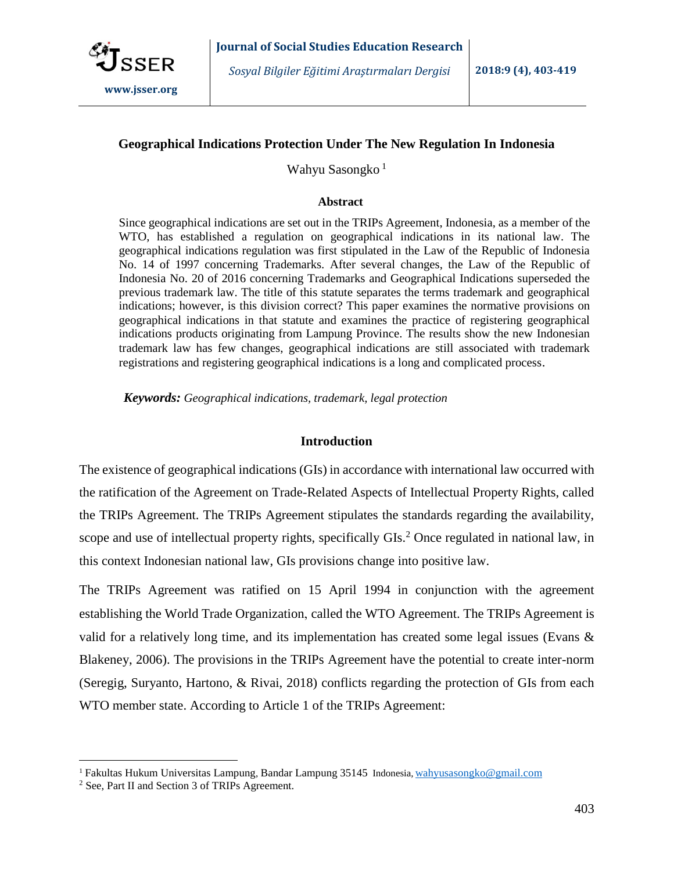

## **Geographical Indications Protection Under The New Regulation In Indonesia**

Wahyu Sasongko<sup>1</sup>

#### **Abstract**

Since geographical indications are set out in the TRIPs Agreement, Indonesia, as a member of the WTO, has established a regulation on geographical indications in its national law. The geographical indications regulation was first stipulated in the Law of the Republic of Indonesia No. 14 of 1997 concerning Trademarks. After several changes, the Law of the Republic of Indonesia No. 20 of 2016 concerning Trademarks and Geographical Indications superseded the previous trademark law. The title of this statute separates the terms trademark and geographical indications; however, is this division correct? This paper examines the normative provisions on geographical indications in that statute and examines the practice of registering geographical indications products originating from Lampung Province. The results show the new Indonesian trademark law has few changes, geographical indications are still associated with trademark registrations and registering geographical indications is a long and complicated process.

*Keywords: Geographical indications, trademark, legal protection*

### **Introduction**

The existence of geographical indications (GIs) in accordance with international law occurred with the ratification of the Agreement on Trade-Related Aspects of Intellectual Property Rights, called the TRIPs Agreement. The TRIPs Agreement stipulates the standards regarding the availability, scope and use of intellectual property rights, specifically GIs.<sup>2</sup> Once regulated in national law, in this context Indonesian national law, GIs provisions change into positive law.

The TRIPs Agreement was ratified on 15 April 1994 in conjunction with the agreement establishing the World Trade Organization, called the WTO Agreement. The TRIPs Agreement is valid for a relatively long time, and its implementation has created some legal issues (Evans  $\&$ Blakeney, 2006). The provisions in the TRIPs Agreement have the potential to create inter-norm (Seregig, Suryanto, Hartono, & Rivai, 2018) conflicts regarding the protection of GIs from each WTO member state. According to Article 1 of the TRIPs Agreement:

<sup>1</sup> Fakultas Hukum Universitas Lampung, Bandar Lampung 35145 Indonesia*,* [wahyusasongko@gmail.com](mailto:wahyusasongko@gmail.com)

<sup>2</sup> See, Part II and Section 3 of TRIPs Agreement.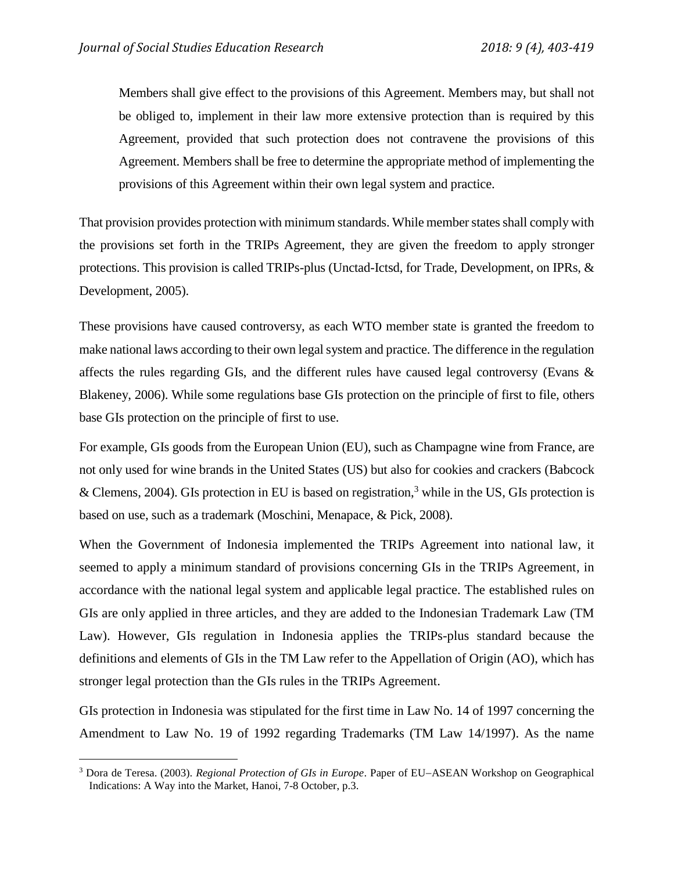Members shall give effect to the provisions of this Agreement. Members may, but shall not be obliged to, implement in their law more extensive protection than is required by this Agreement, provided that such protection does not contravene the provisions of this Agreement. Members shall be free to determine the appropriate method of implementing the provisions of this Agreement within their own legal system and practice.

That provision provides protection with minimum standards. While member statesshall comply with the provisions set forth in the TRIPs Agreement, they are given the freedom to apply stronger protections. This provision is called TRIPs-plus (Unctad-Ictsd, for Trade, Development, on IPRs, & Development, 2005).

These provisions have caused controversy, as each WTO member state is granted the freedom to make national laws according to their own legal system and practice. The difference in the regulation affects the rules regarding GIs, and the different rules have caused legal controversy (Evans & Blakeney, 2006). While some regulations base GIs protection on the principle of first to file, others base GIs protection on the principle of first to use.

For example, GIs goods from the European Union (EU), such as Champagne wine from France, are not only used for wine brands in the United States (US) but also for cookies and crackers (Babcock & Clemens, 2004). GIs protection in EU is based on registration,<sup>3</sup> while in the US, GIs protection is based on use, such as a trademark (Moschini, Menapace, & Pick, 2008).

When the Government of Indonesia implemented the TRIPs Agreement into national law, it seemed to apply a minimum standard of provisions concerning GIs in the TRIPs Agreement, in accordance with the national legal system and applicable legal practice. The established rules on GIs are only applied in three articles, and they are added to the Indonesian Trademark Law (TM Law). However, GIs regulation in Indonesia applies the TRIPs-plus standard because the definitions and elements of GIs in the TM Law refer to the Appellation of Origin (AO), which has stronger legal protection than the GIs rules in the TRIPs Agreement.

GIs protection in Indonesia was stipulated for the first time in Law No. 14 of 1997 concerning the Amendment to Law No. 19 of 1992 regarding Trademarks (TM Law 14/1997). As the name

<sup>&</sup>lt;sup>3</sup> Dora de Teresa. (2003). *Regional Protection of GIs in Europe*. Paper of EU-ASEAN Workshop on Geographical Indications: A Way into the Market, Hanoi, 7-8 October, p.3.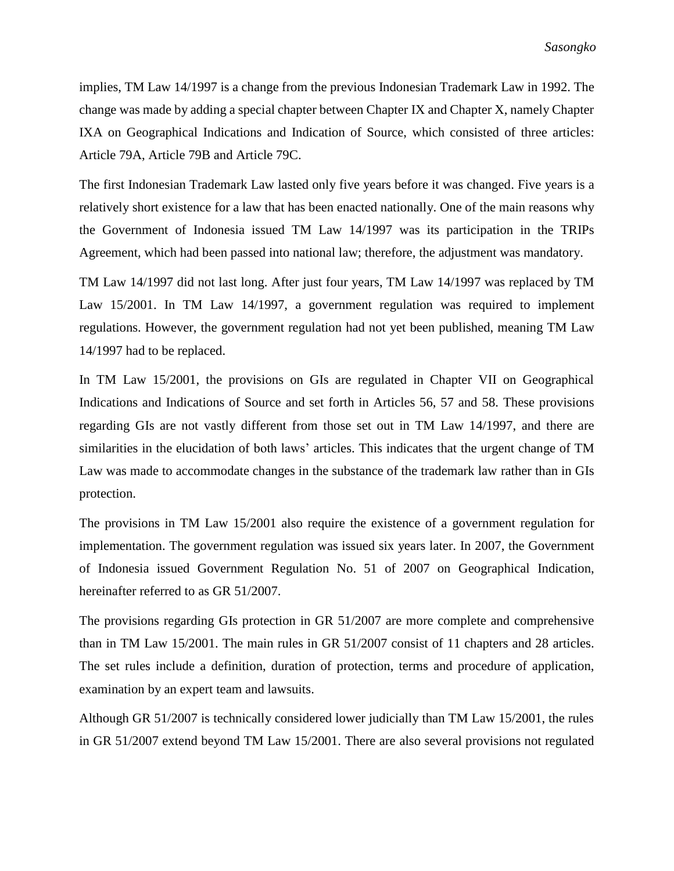implies, TM Law 14/1997 is a change from the previous Indonesian Trademark Law in 1992. The change was made by adding a special chapter between Chapter IX and Chapter X, namely Chapter IXA on Geographical Indications and Indication of Source, which consisted of three articles: Article 79A, Article 79B and Article 79C.

The first Indonesian Trademark Law lasted only five years before it was changed. Five years is a relatively short existence for a law that has been enacted nationally. One of the main reasons why the Government of Indonesia issued TM Law 14/1997 was its participation in the TRIPs Agreement, which had been passed into national law; therefore, the adjustment was mandatory.

TM Law 14/1997 did not last long. After just four years, TM Law 14/1997 was replaced by TM Law 15/2001. In TM Law 14/1997, a government regulation was required to implement regulations. However, the government regulation had not yet been published, meaning TM Law 14/1997 had to be replaced.

In TM Law 15/2001, the provisions on GIs are regulated in Chapter VII on Geographical Indications and Indications of Source and set forth in Articles 56, 57 and 58. These provisions regarding GIs are not vastly different from those set out in TM Law 14/1997, and there are similarities in the elucidation of both laws' articles. This indicates that the urgent change of TM Law was made to accommodate changes in the substance of the trademark law rather than in GIs protection.

The provisions in TM Law 15/2001 also require the existence of a government regulation for implementation. The government regulation was issued six years later. In 2007, the Government of Indonesia issued Government Regulation No. 51 of 2007 on Geographical Indication, hereinafter referred to as GR 51/2007.

The provisions regarding GIs protection in GR 51/2007 are more complete and comprehensive than in TM Law 15/2001. The main rules in GR 51/2007 consist of 11 chapters and 28 articles. The set rules include a definition, duration of protection, terms and procedure of application, examination by an expert team and lawsuits.

Although GR 51/2007 is technically considered lower judicially than TM Law 15/2001, the rules in GR 51/2007 extend beyond TM Law 15/2001. There are also several provisions not regulated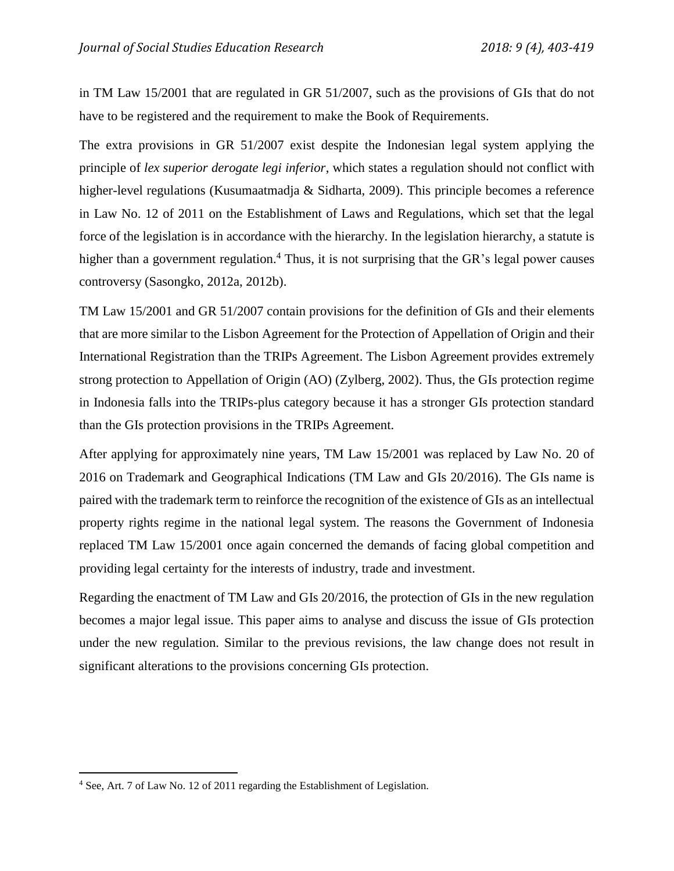in TM Law 15/2001 that are regulated in GR 51/2007, such as the provisions of GIs that do not have to be registered and the requirement to make the Book of Requirements.

The extra provisions in GR 51/2007 exist despite the Indonesian legal system applying the principle of *lex superior derogate legi inferior*, which states a regulation should not conflict with higher-level regulations (Kusumaatmadja & Sidharta, 2009). This principle becomes a reference in Law No. 12 of 2011 on the Establishment of Laws and Regulations, which set that the legal force of the legislation is in accordance with the hierarchy. In the legislation hierarchy, a statute is higher than a government regulation.<sup>4</sup> Thus, it is not surprising that the GR's legal power causes controversy (Sasongko, 2012a, 2012b).

TM Law 15/2001 and GR 51/2007 contain provisions for the definition of GIs and their elements that are more similar to the Lisbon Agreement for the Protection of Appellation of Origin and their International Registration than the TRIPs Agreement. The Lisbon Agreement provides extremely strong protection to Appellation of Origin (AO) (Zylberg, 2002). Thus, the GIs protection regime in Indonesia falls into the TRIPs-plus category because it has a stronger GIs protection standard than the GIs protection provisions in the TRIPs Agreement.

After applying for approximately nine years, TM Law 15/2001 was replaced by Law No. 20 of 2016 on Trademark and Geographical Indications (TM Law and GIs 20/2016). The GIs name is paired with the trademark term to reinforce the recognition of the existence of GIs as an intellectual property rights regime in the national legal system. The reasons the Government of Indonesia replaced TM Law 15/2001 once again concerned the demands of facing global competition and providing legal certainty for the interests of industry, trade and investment.

Regarding the enactment of TM Law and GIs 20/2016, the protection of GIs in the new regulation becomes a major legal issue. This paper aims to analyse and discuss the issue of GIs protection under the new regulation. Similar to the previous revisions, the law change does not result in significant alterations to the provisions concerning GIs protection.

<sup>4</sup> See, Art. 7 of Law No. 12 of 2011 regarding the Establishment of Legislation.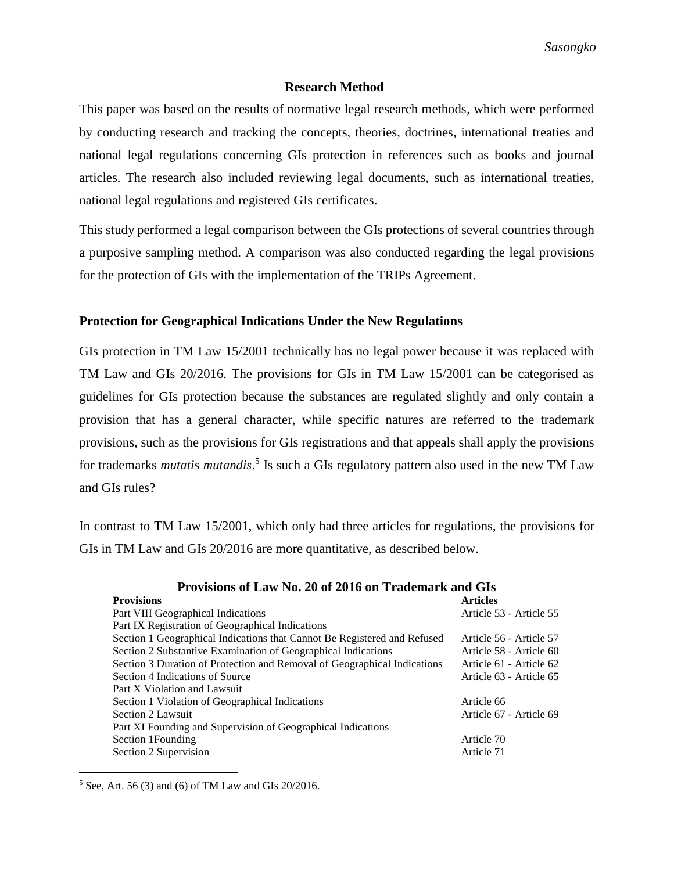## **Research Method**

This paper was based on the results of normative legal research methods, which were performed by conducting research and tracking the concepts, theories, doctrines, international treaties and national legal regulations concerning GIs protection in references such as books and journal articles. The research also included reviewing legal documents, such as international treaties, national legal regulations and registered GIs certificates.

This study performed a legal comparison between the GIs protections of several countries through a purposive sampling method. A comparison was also conducted regarding the legal provisions for the protection of GIs with the implementation of the TRIPs Agreement.

## **Protection for Geographical Indications Under the New Regulations**

GIs protection in TM Law 15/2001 technically has no legal power because it was replaced with TM Law and GIs 20/2016. The provisions for GIs in TM Law 15/2001 can be categorised as guidelines for GIs protection because the substances are regulated slightly and only contain a provision that has a general character, while specific natures are referred to the trademark provisions, such as the provisions for GIs registrations and that appeals shall apply the provisions for trademarks *mutatis mutandis*. 5 Is such a GIs regulatory pattern also used in the new TM Law and GIs rules?

In contrast to TM Law 15/2001, which only had three articles for regulations, the provisions for GIs in TM Law and GIs 20/2016 are more quantitative, as described below.

| <b>Provisions</b>                                                        | <b>Articles</b>         |
|--------------------------------------------------------------------------|-------------------------|
| Part VIII Geographical Indications                                       | Article 53 - Article 55 |
| Part IX Registration of Geographical Indications                         |                         |
| Section 1 Geographical Indications that Cannot Be Registered and Refused | Article 56 - Article 57 |
| Section 2 Substantive Examination of Geographical Indications            | Article 58 - Article 60 |
| Section 3 Duration of Protection and Removal of Geographical Indications | Article 61 - Article 62 |
| Section 4 Indications of Source                                          | Article 63 - Article 65 |
| Part X Violation and Lawsuit                                             |                         |
| Section 1 Violation of Geographical Indications                          | Article 66              |
| Section 2 Lawsuit                                                        | Article 67 - Article 69 |
| Part XI Founding and Supervision of Geographical Indications             |                         |
| Section 1 Founding                                                       | Article 70              |
| Section 2 Supervision                                                    | Article 71              |

## **Provisions of Law No. 20 of 2016 on Trademark and GIs**

<sup>5</sup> See, Art. 56 (3) and (6) of TM Law and GIs 20/2016.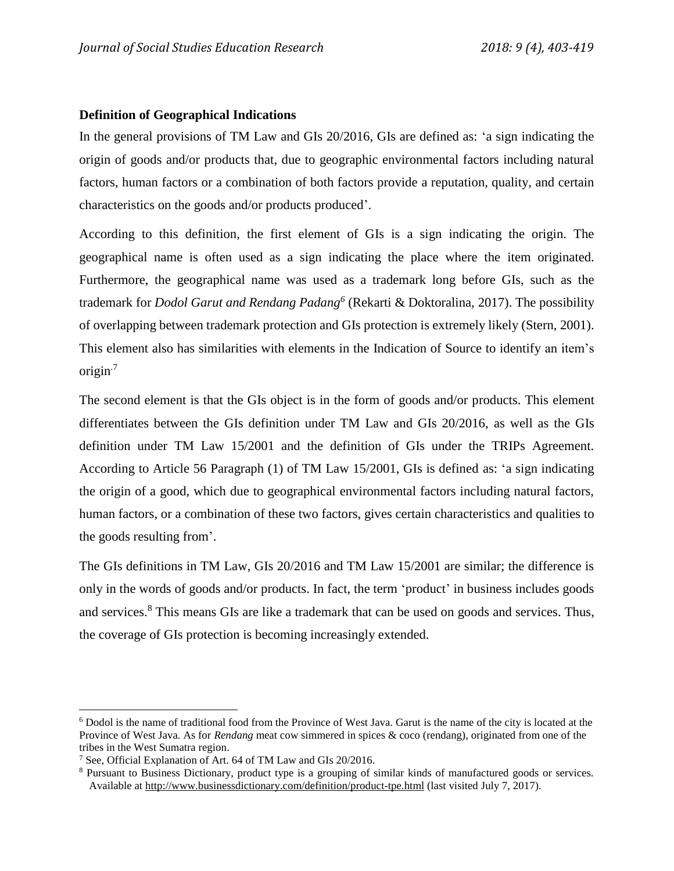# **Definition of Geographical Indications**

In the general provisions of TM Law and GIs 20/2016, GIs are defined as: 'a sign indicating the origin of goods and/or products that, due to geographic environmental factors including natural factors, human factors or a combination of both factors provide a reputation, quality, and certain characteristics on the goods and/or products produced'.

According to this definition, the first element of GIs is a sign indicating the origin. The geographical name is often used as a sign indicating the place where the item originated. Furthermore, the geographical name was used as a trademark long before GIs, such as the trademark for *Dodol Garut and Rendang Padang<sup>6</sup>* (Rekarti & Doktoralina, 2017). The possibility of overlapping between trademark protection and GIs protection is extremely likely (Stern, 2001). This element also has similarities with elements in the Indication of Source to identify an item's origin $<sup>7</sup>$ </sup>

The second element is that the GIs object is in the form of goods and/or products. This element differentiates between the GIs definition under TM Law and GIs 20/2016, as well as the GIs definition under TM Law 15/2001 and the definition of GIs under the TRIPs Agreement. According to Article 56 Paragraph (1) of TM Law 15/2001, GIs is defined as: 'a sign indicating the origin of a good, which due to geographical environmental factors including natural factors, human factors, or a combination of these two factors, gives certain characteristics and qualities to the goods resulting from'.

The GIs definitions in TM Law, GIs 20/2016 and TM Law 15/2001 are similar; the difference is only in the words of goods and/or products. In fact, the term 'product' in business includes goods and services.<sup>8</sup> This means GIs are like a trademark that can be used on goods and services. Thus, the coverage of GIs protection is becoming increasingly extended.

<sup>6</sup> Dodol is the name of traditional food from the Province of West Java. Garut is the name of the city is located at the Province of West Java. As for *Rendang* meat cow simmered in spices & coco (rendang), originated from one of the tribes in the West Sumatra region.

<sup>7</sup> See, Official Explanation of Art. 64 of TM Law and GIs 20/2016.

<sup>8</sup> Pursuant to Business Dictionary, product type is a grouping of similar kinds of manufactured goods or services. Available at<http://www.businessdictionary.com/definition/product-tpe.html> (last visited July 7, 2017).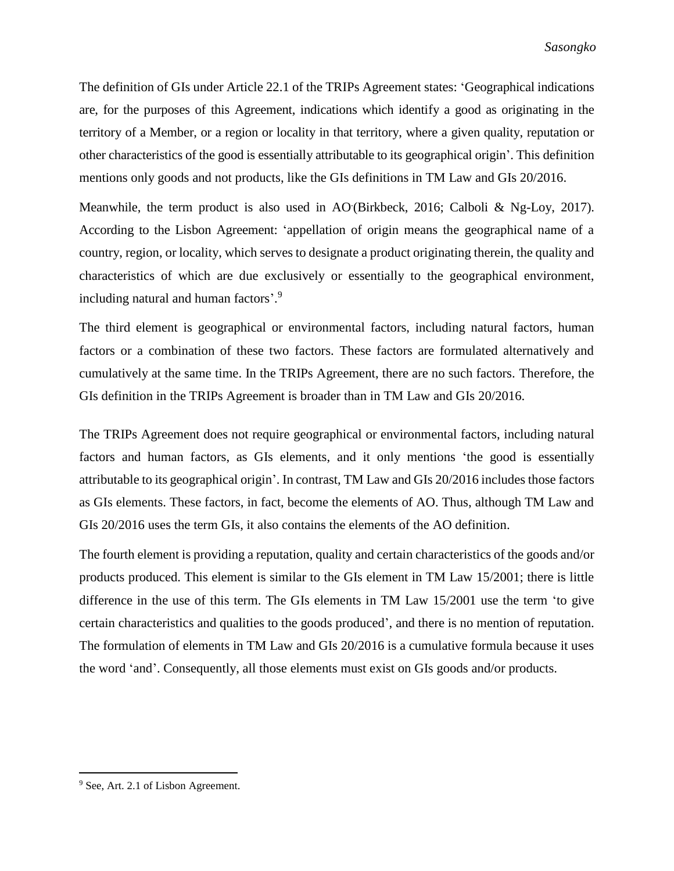The definition of GIs under Article 22.1 of the TRIPs Agreement states: 'Geographical indications are, for the purposes of this Agreement, indications which identify a good as originating in the territory of a Member, or a region or locality in that territory, where a given quality, reputation or other characteristics of the good is essentially attributable to its geographical origin'. This definition mentions only goods and not products, like the GIs definitions in TM Law and GIs 20/2016.

Meanwhile, the term product is also used in AO (Birkbeck, 2016; Calboli & Ng-Loy, 2017). According to the Lisbon Agreement: 'appellation of origin means the geographical name of a country, region, or locality, which serves to designate a product originating therein, the quality and characteristics of which are due exclusively or essentially to the geographical environment, including natural and human factors'. 9

The third element is geographical or environmental factors, including natural factors, human factors or a combination of these two factors. These factors are formulated alternatively and cumulatively at the same time. In the TRIPs Agreement, there are no such factors. Therefore, the GIs definition in the TRIPs Agreement is broader than in TM Law and GIs 20/2016.

The TRIPs Agreement does not require geographical or environmental factors, including natural factors and human factors, as GIs elements, and it only mentions 'the good is essentially attributable to its geographical origin'. In contrast, TM Law and GIs 20/2016 includes those factors as GIs elements. These factors, in fact, become the elements of AO. Thus, although TM Law and GIs 20/2016 uses the term GIs, it also contains the elements of the AO definition.

The fourth element is providing a reputation, quality and certain characteristics of the goods and/or products produced. This element is similar to the GIs element in TM Law 15/2001; there is little difference in the use of this term. The GIs elements in TM Law 15/2001 use the term 'to give certain characteristics and qualities to the goods produced', and there is no mention of reputation. The formulation of elements in TM Law and GIs 20/2016 is a cumulative formula because it uses the word 'and'. Consequently, all those elements must exist on GIs goods and/or products.

<sup>&</sup>lt;sup>9</sup> See, Art. 2.1 of Lisbon Agreement.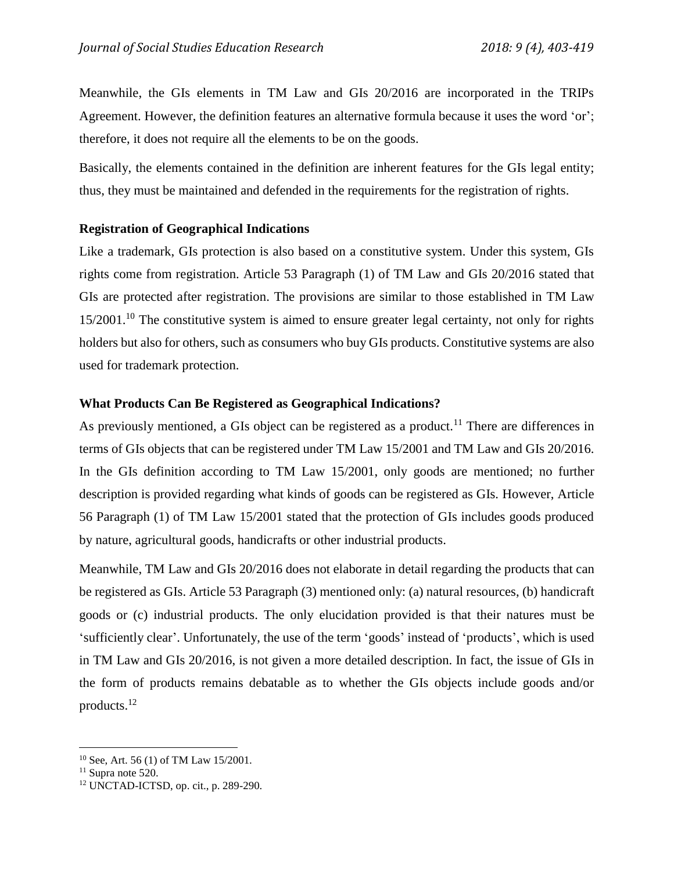Meanwhile, the GIs elements in TM Law and GIs 20/2016 are incorporated in the TRIPs Agreement. However, the definition features an alternative formula because it uses the word 'or'; therefore, it does not require all the elements to be on the goods.

Basically, the elements contained in the definition are inherent features for the GIs legal entity; thus, they must be maintained and defended in the requirements for the registration of rights.

## **Registration of Geographical Indications**

Like a trademark, GIs protection is also based on a constitutive system. Under this system, GIs rights come from registration. Article 53 Paragraph (1) of TM Law and GIs 20/2016 stated that GIs are protected after registration. The provisions are similar to those established in TM Law 15/2001.<sup>10</sup> The constitutive system is aimed to ensure greater legal certainty, not only for rights holders but also for others, such as consumers who buy GIs products. Constitutive systems are also used for trademark protection.

## **What Products Can Be Registered as Geographical Indications?**

As previously mentioned, a GIs object can be registered as a product.<sup>11</sup> There are differences in terms of GIs objects that can be registered under TM Law 15/2001 and TM Law and GIs 20/2016. In the GIs definition according to TM Law 15/2001, only goods are mentioned; no further description is provided regarding what kinds of goods can be registered as GIs. However, Article 56 Paragraph (1) of TM Law 15/2001 stated that the protection of GIs includes goods produced by nature, agricultural goods, handicrafts or other industrial products.

Meanwhile, TM Law and GIs 20/2016 does not elaborate in detail regarding the products that can be registered as GIs. Article 53 Paragraph (3) mentioned only: (a) natural resources, (b) handicraft goods or (c) industrial products. The only elucidation provided is that their natures must be 'sufficiently clear'. Unfortunately, the use of the term 'goods' instead of 'products', which is used in TM Law and GIs 20/2016, is not given a more detailed description. In fact, the issue of GIs in the form of products remains debatable as to whether the GIs objects include goods and/or products. 12

<sup>10</sup> See, Art. 56 (1) of TM Law 15/2001.

 $11$  Supra note 520.

<sup>12</sup> UNCTAD-ICTSD, op. cit., p. 289-290.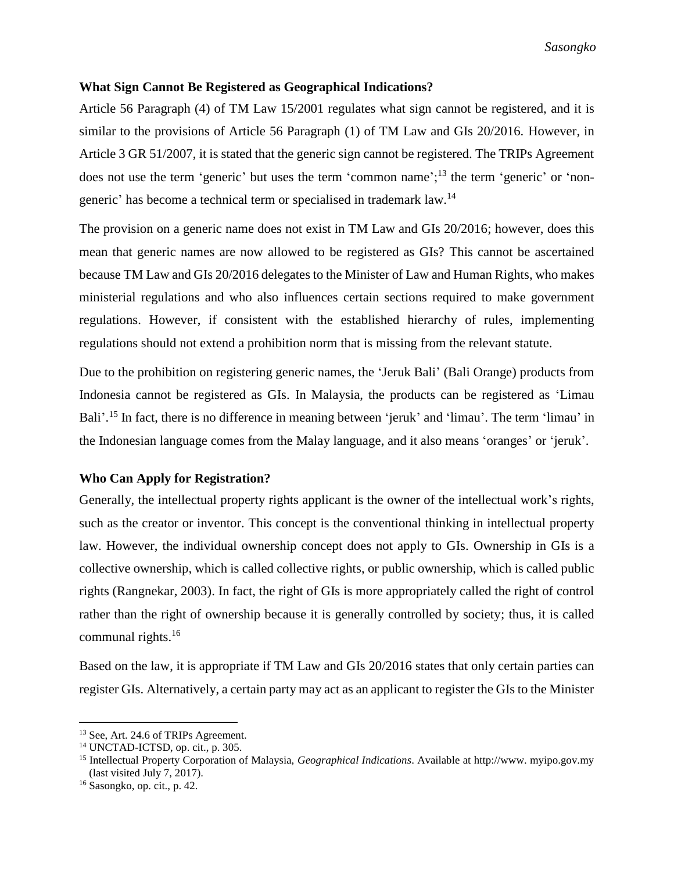### **What Sign Cannot Be Registered as Geographical Indications?**

Article 56 Paragraph (4) of TM Law 15/2001 regulates what sign cannot be registered, and it is similar to the provisions of Article 56 Paragraph (1) of TM Law and GIs 20/2016. However, in Article 3 GR 51/2007, it is stated that the generic sign cannot be registered. The TRIPs Agreement does not use the term 'generic' but uses the term 'common name';<sup>13</sup> the term 'generic' or 'nongeneric' has become a technical term or specialised in trademark law.<sup>14</sup>

The provision on a generic name does not exist in TM Law and GIs 20/2016; however, does this mean that generic names are now allowed to be registered as GIs? This cannot be ascertained because TM Law and GIs 20/2016 delegates to the Minister of Law and Human Rights, who makes ministerial regulations and who also influences certain sections required to make government regulations. However, if consistent with the established hierarchy of rules, implementing regulations should not extend a prohibition norm that is missing from the relevant statute.

Due to the prohibition on registering generic names, the 'Jeruk Bali' (Bali Orange) products from Indonesia cannot be registered as GIs. In Malaysia, the products can be registered as 'Limau Bali'.<sup>15</sup> In fact, there is no difference in meaning between 'jeruk' and 'limau'. The term 'limau' in the Indonesian language comes from the Malay language, and it also means 'oranges' or 'jeruk'.

# **Who Can Apply for Registration?**

Generally, the intellectual property rights applicant is the owner of the intellectual work's rights, such as the creator or inventor. This concept is the conventional thinking in intellectual property law. However, the individual ownership concept does not apply to GIs. Ownership in GIs is a collective ownership, which is called collective rights, or public ownership, which is called public rights (Rangnekar, 2003). In fact, the right of GIs is more appropriately called the right of control rather than the right of ownership because it is generally controlled by society; thus, it is called communal rights.<sup>16</sup>

Based on the law, it is appropriate if TM Law and GIs 20/2016 states that only certain parties can register GIs. Alternatively, a certain party may act as an applicant to register the GIs to the Minister

<sup>13</sup> See, Art. 24.6 of TRIPs Agreement.

<sup>14</sup> UNCTAD-ICTSD, op. cit., p. 305.

<sup>15</sup> Intellectual Property Corporation of Malaysia, *Geographical Indications*. Available at http://www. myipo.gov.my (last visited July 7, 2017).

<sup>16</sup> Sasongko, op. cit., p. 42.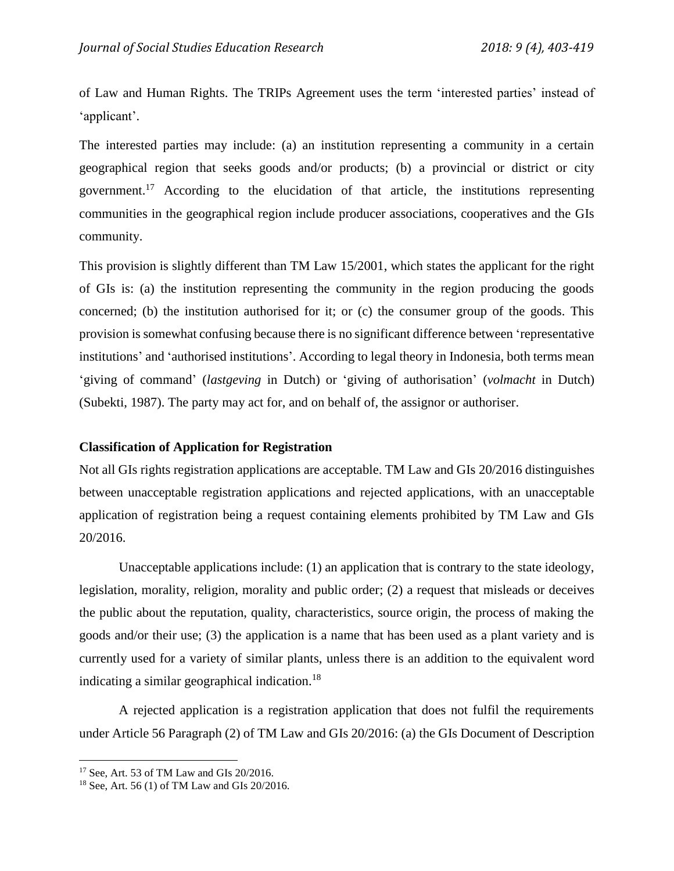of Law and Human Rights. The TRIPs Agreement uses the term 'interested parties' instead of 'applicant'.

The interested parties may include: (a) an institution representing a community in a certain geographical region that seeks goods and/or products; (b) a provincial or district or city government. <sup>17</sup> According to the elucidation of that article, the institutions representing communities in the geographical region include producer associations, cooperatives and the GIs community.

This provision is slightly different than TM Law 15/2001, which states the applicant for the right of GIs is: (a) the institution representing the community in the region producing the goods concerned; (b) the institution authorised for it; or (c) the consumer group of the goods. This provision is somewhat confusing because there is no significant difference between 'representative institutions' and 'authorised institutions'. According to legal theory in Indonesia, both terms mean 'giving of command' (*lastgeving* in Dutch) or 'giving of authorisation' (*volmacht* in Dutch) (Subekti, 1987). The party may act for, and on behalf of, the assignor or authoriser.

### **Classification of Application for Registration**

Not all GIs rights registration applications are acceptable. TM Law and GIs 20/2016 distinguishes between unacceptable registration applications and rejected applications, with an unacceptable application of registration being a request containing elements prohibited by TM Law and GIs 20/2016.

Unacceptable applications include: (1) an application that is contrary to the state ideology, legislation, morality, religion, morality and public order; (2) a request that misleads or deceives the public about the reputation, quality, characteristics, source origin, the process of making the goods and/or their use; (3) the application is a name that has been used as a plant variety and is currently used for a variety of similar plants, unless there is an addition to the equivalent word indicating a similar geographical indication.<sup>18</sup>

A rejected application is a registration application that does not fulfil the requirements under Article 56 Paragraph (2) of TM Law and GIs 20/2016: (a) the GIs Document of Description

<sup>17</sup> See, Art. 53 of TM Law and GIs 20/2016.

<sup>18</sup> See, Art. 56 (1) of TM Law and GIs 20/2016.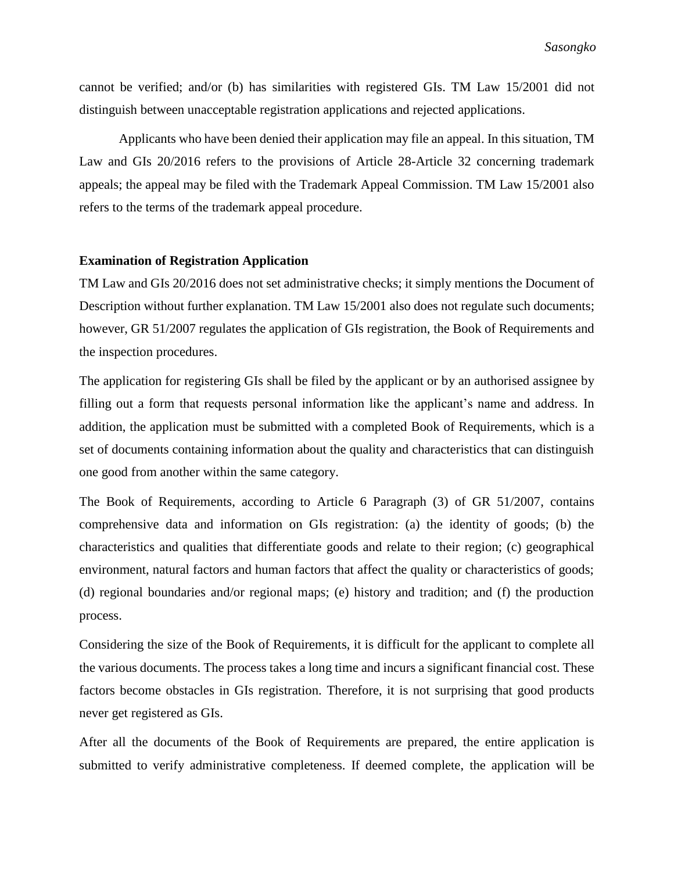cannot be verified; and/or (b) has similarities with registered GIs. TM Law 15/2001 did not distinguish between unacceptable registration applications and rejected applications.

Applicants who have been denied their application may file an appeal. In this situation, TM Law and GIs 20/2016 refers to the provisions of Article 28-Article 32 concerning trademark appeals; the appeal may be filed with the Trademark Appeal Commission. TM Law 15/2001 also refers to the terms of the trademark appeal procedure.

#### **Examination of Registration Application**

TM Law and GIs 20/2016 does not set administrative checks; it simply mentions the Document of Description without further explanation. TM Law 15/2001 also does not regulate such documents; however, GR 51/2007 regulates the application of GIs registration, the Book of Requirements and the inspection procedures.

The application for registering GIs shall be filed by the applicant or by an authorised assignee by filling out a form that requests personal information like the applicant's name and address. In addition, the application must be submitted with a completed Book of Requirements, which is a set of documents containing information about the quality and characteristics that can distinguish one good from another within the same category.

The Book of Requirements, according to Article 6 Paragraph (3) of GR 51/2007, contains comprehensive data and information on GIs registration: (a) the identity of goods; (b) the characteristics and qualities that differentiate goods and relate to their region; (c) geographical environment, natural factors and human factors that affect the quality or characteristics of goods; (d) regional boundaries and/or regional maps; (e) history and tradition; and (f) the production process.

Considering the size of the Book of Requirements, it is difficult for the applicant to complete all the various documents. The process takes a long time and incurs a significant financial cost. These factors become obstacles in GIs registration. Therefore, it is not surprising that good products never get registered as GIs.

After all the documents of the Book of Requirements are prepared, the entire application is submitted to verify administrative completeness. If deemed complete, the application will be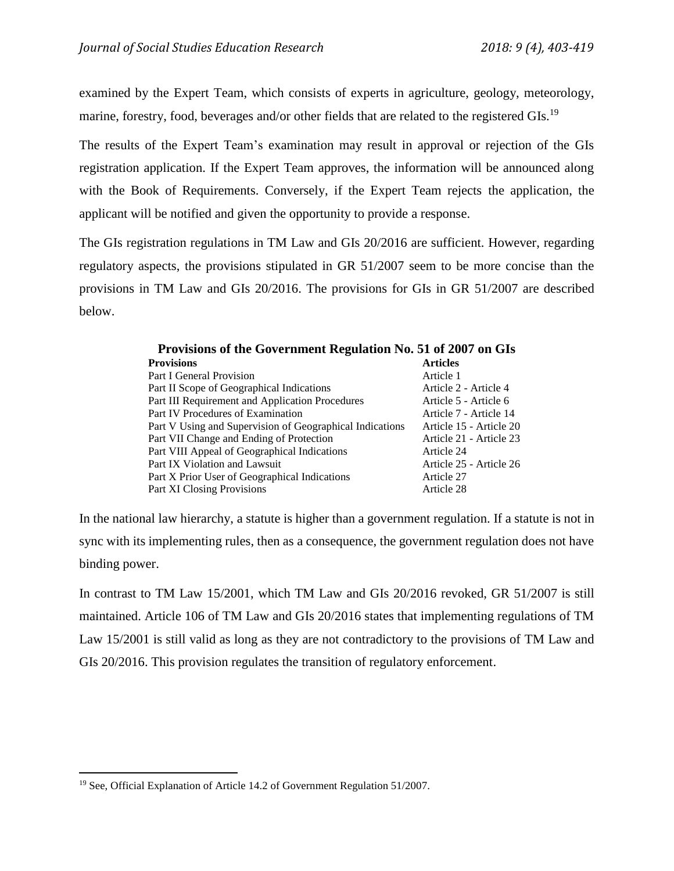examined by the Expert Team, which consists of experts in agriculture, geology, meteorology, marine, forestry, food, beverages and/or other fields that are related to the registered GIs.<sup>19</sup>

The results of the Expert Team's examination may result in approval or rejection of the GIs registration application. If the Expert Team approves, the information will be announced along with the Book of Requirements. Conversely, if the Expert Team rejects the application, the applicant will be notified and given the opportunity to provide a response.

The GIs registration regulations in TM Law and GIs 20/2016 are sufficient. However, regarding regulatory aspects, the provisions stipulated in GR 51/2007 seem to be more concise than the provisions in TM Law and GIs 20/2016. The provisions for GIs in GR 51/2007 are described below.

| <b>Provisions</b>                                        | <b>Articles</b>         |
|----------------------------------------------------------|-------------------------|
| Part I General Provision                                 | Article 1               |
| Part II Scope of Geographical Indications                | Article 2 - Article 4   |
| Part III Requirement and Application Procedures          | Article 5 - Article 6   |
| Part IV Procedures of Examination                        | Article 7 - Article 14  |
| Part V Using and Supervision of Geographical Indications | Article 15 - Article 20 |
| Part VII Change and Ending of Protection                 | Article 21 - Article 23 |
| Part VIII Appeal of Geographical Indications             | Article 24              |
| Part IX Violation and Lawsuit                            | Article 25 - Article 26 |
| Part X Prior User of Geographical Indications            | Article 27              |
| <b>Part XI Closing Provisions</b>                        | Article 28              |

**Provisions of the Government Regulation No. 51 of 2007 on GIs** 

In the national law hierarchy, a statute is higher than a government regulation. If a statute is not in sync with its implementing rules, then as a consequence, the government regulation does not have binding power.

In contrast to TM Law 15/2001, which TM Law and GIs 20/2016 revoked, GR 51/2007 is still maintained. Article 106 of TM Law and GIs 20/2016 states that implementing regulations of TM Law 15/2001 is still valid as long as they are not contradictory to the provisions of TM Law and GIs 20/2016. This provision regulates the transition of regulatory enforcement.

<sup>&</sup>lt;sup>19</sup> See, Official Explanation of Article 14.2 of Government Regulation 51/2007.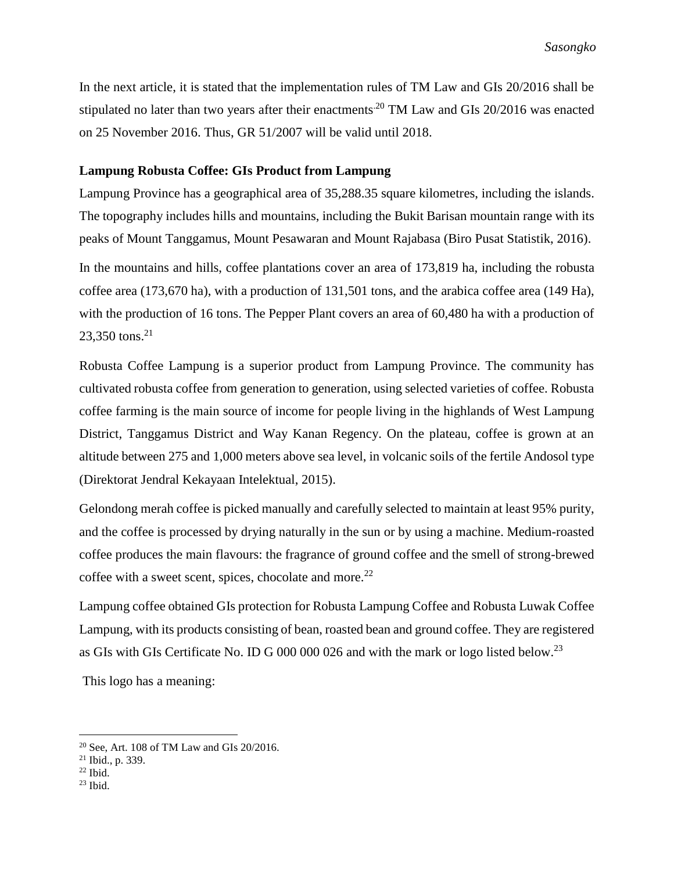In the next article, it is stated that the implementation rules of TM Law and GIs 20/2016 shall be stipulated no later than two years after their enactments<sup>20</sup> TM Law and GIs 20/2016 was enacted on 25 November 2016. Thus, GR 51/2007 will be valid until 2018.

## **Lampung Robusta Coffee: GIs Product from Lampung**

Lampung Province has a geographical area of 35,288.35 square kilometres, including the islands. The topography includes hills and mountains, including the Bukit Barisan mountain range with its peaks of Mount Tanggamus, Mount Pesawaran and Mount Rajabasa (Biro Pusat Statistik, 2016). In the mountains and hills, coffee plantations cover an area of 173,819 ha, including the robusta coffee area (173,670 ha), with a production of 131,501 tons, and the arabica coffee area (149 Ha), with the production of 16 tons. The Pepper Plant covers an area of 60,480 ha with a production of

Robusta Coffee Lampung is a superior product from Lampung Province. The community has cultivated robusta coffee from generation to generation, using selected varieties of coffee. Robusta coffee farming is the main source of income for people living in the highlands of West Lampung District, Tanggamus District and Way Kanan Regency. On the plateau, coffee is grown at an altitude between 275 and 1,000 meters above sea level, in volcanic soils of the fertile Andosol type (Direktorat Jendral Kekayaan Intelektual, 2015).

Gelondong merah coffee is picked manually and carefully selected to maintain at least 95% purity, and the coffee is processed by drying naturally in the sun or by using a machine. Medium-roasted coffee produces the main flavours: the fragrance of ground coffee and the smell of strong-brewed coffee with a sweet scent, spices, chocolate and more.<sup>22</sup>

Lampung coffee obtained GIs protection for Robusta Lampung Coffee and Robusta Luwak Coffee Lampung, with its products consisting of bean, roasted bean and ground coffee. They are registered as GIs with GIs Certificate No. ID G 000 000 026 and with the mark or logo listed below.<sup>23</sup>

This logo has a meaning:

 $23,350$  tons.<sup>21</sup>

 $\overline{a}$ 

 $23$  Ibid.

<sup>20</sup> See, Art. 108 of TM Law and GIs 20/2016.

<sup>21</sup> Ibid., p. 339.

 $22$  Ibid.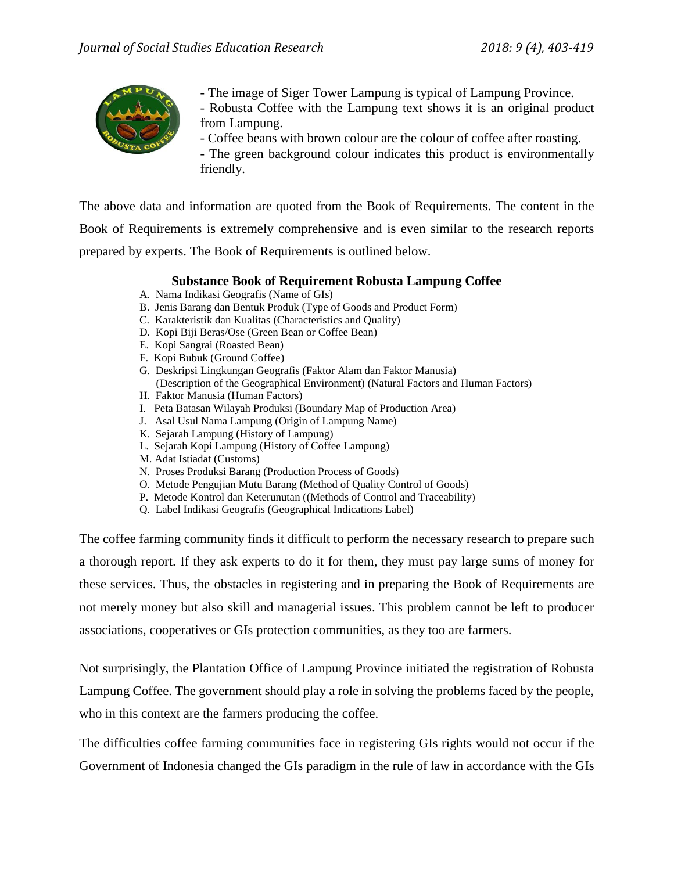

- The image of Siger Tower Lampung is typical of Lampung Province.
- Robusta Coffee with the Lampung text shows it is an original product from Lampung.
	- Coffee beans with brown colour are the colour of coffee after roasting.

- The green background colour indicates this product is environmentally friendly.

The above data and information are quoted from the Book of Requirements. The content in the Book of Requirements is extremely comprehensive and is even similar to the research reports prepared by experts. The Book of Requirements is outlined below.

# **Substance Book of Requirement Robusta Lampung Coffee**

- A. Nama Indikasi Geografis (Name of GIs)
- B. Jenis Barang dan Bentuk Produk (Type of Goods and Product Form)
- C. Karakteristik dan Kualitas (Characteristics and Quality)
- D. Kopi Biji Beras/Ose (Green Bean or Coffee Bean)
- E. Kopi Sangrai (Roasted Bean)
- F. Kopi Bubuk (Ground Coffee)
- G. Deskripsi Lingkungan Geografis (Faktor Alam dan Faktor Manusia) (Description of the Geographical Environment) (Natural Factors and Human Factors)
- H. Faktor Manusia (Human Factors)
- I. Peta Batasan Wilayah Produksi (Boundary Map of Production Area)
- J. Asal Usul Nama Lampung (Origin of Lampung Name)
- K. Sejarah Lampung (History of Lampung)
- L. Sejarah Kopi Lampung (History of Coffee Lampung)
- M. Adat Istiadat (Customs)
- N. Proses Produksi Barang (Production Process of Goods)
- O. Metode Pengujian Mutu Barang (Method of Quality Control of Goods)
- P. Metode Kontrol dan Keterunutan ((Methods of Control and Traceability)
- Q. Label Indikasi Geografis (Geographical Indications Label)

The coffee farming community finds it difficult to perform the necessary research to prepare such a thorough report. If they ask experts to do it for them, they must pay large sums of money for these services. Thus, the obstacles in registering and in preparing the Book of Requirements are not merely money but also skill and managerial issues. This problem cannot be left to producer associations, cooperatives or GIs protection communities, as they too are farmers.

Not surprisingly, the Plantation Office of Lampung Province initiated the registration of Robusta Lampung Coffee. The government should play a role in solving the problems faced by the people, who in this context are the farmers producing the coffee.

The difficulties coffee farming communities face in registering GIs rights would not occur if the Government of Indonesia changed the GIs paradigm in the rule of law in accordance with the GIs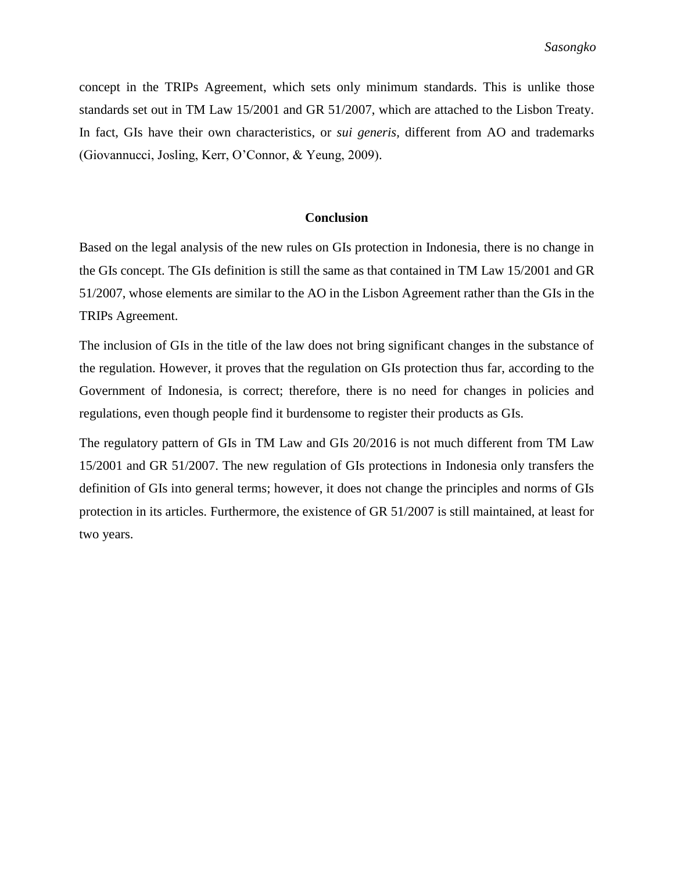concept in the TRIPs Agreement, which sets only minimum standards. This is unlike those standards set out in TM Law 15/2001 and GR 51/2007, which are attached to the Lisbon Treaty. In fact, GIs have their own characteristics, or *sui generis,* different from AO and trademarks (Giovannucci, Josling, Kerr, O'Connor, & Yeung, 2009).

## **Conclusion**

Based on the legal analysis of the new rules on GIs protection in Indonesia, there is no change in the GIs concept. The GIs definition is still the same as that contained in TM Law 15/2001 and GR 51/2007, whose elements are similar to the AO in the Lisbon Agreement rather than the GIs in the TRIPs Agreement.

The inclusion of GIs in the title of the law does not bring significant changes in the substance of the regulation. However, it proves that the regulation on GIs protection thus far, according to the Government of Indonesia, is correct; therefore, there is no need for changes in policies and regulations, even though people find it burdensome to register their products as GIs.

The regulatory pattern of GIs in TM Law and GIs 20/2016 is not much different from TM Law 15/2001 and GR 51/2007. The new regulation of GIs protections in Indonesia only transfers the definition of GIs into general terms; however, it does not change the principles and norms of GIs protection in its articles. Furthermore, the existence of GR 51/2007 is still maintained, at least for two years.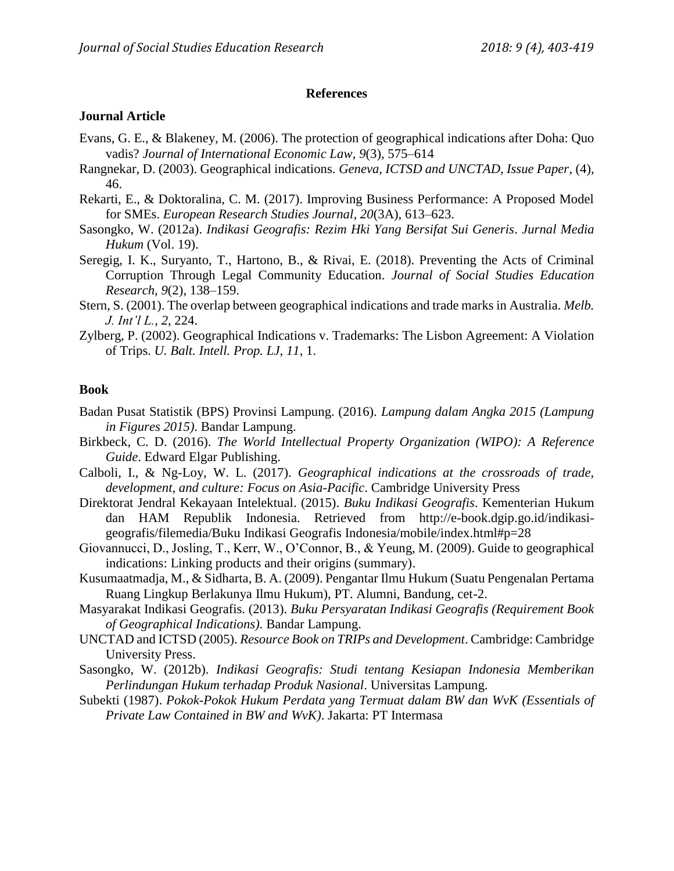### **References**

#### **Journal Article**

- Evans, G. E., & Blakeney, M. (2006). The protection of geographical indications after Doha: Quo vadis? *Journal of International Economic Law*, *9*(3), 575–614
- Rangnekar, D. (2003). Geographical indications. *Geneva, ICTSD and UNCTAD, Issue Paper*, (4), 46.
- Rekarti, E., & Doktoralina, C. M. (2017). Improving Business Performance: A Proposed Model for SMEs. *European Research Studies Journal*, *20*(3A), 613–623.
- Sasongko, W. (2012a). *Indikasi Geografis: Rezim Hki Yang Bersifat Sui Generis*. *Jurnal Media Hukum* (Vol. 19).
- Seregig, I. K., Suryanto, T., Hartono, B., & Rivai, E. (2018). Preventing the Acts of Criminal Corruption Through Legal Community Education. *Journal of Social Studies Education Research*, *9*(2), 138–159.
- Stern, S. (2001). The overlap between geographical indications and trade marks in Australia. *Melb. J. Int'l L.*, *2*, 224.
- Zylberg, P. (2002). Geographical Indications v. Trademarks: The Lisbon Agreement: A Violation of Trips. *U. Balt. Intell. Prop. LJ*, *11*, 1.

### **Book**

- Badan Pusat Statistik (BPS) Provinsi Lampung. (2016). *Lampung dalam Angka 2015 (Lampung in Figures 2015)*. Bandar Lampung.
- Birkbeck, C. D. (2016). *The World Intellectual Property Organization (WIPO): A Reference Guide*. Edward Elgar Publishing.
- Calboli, I., & Ng-Loy, W. L. (2017). *Geographical indications at the crossroads of trade, development, and culture: Focus on Asia-Pacific*. Cambridge University Press
- Direktorat Jendral Kekayaan Intelektual. (2015). *Buku Indikasi Geografis*. Kementerian Hukum dan HAM Republik Indonesia. Retrieved from http://e-book.dgip.go.id/indikasigeografis/filemedia/Buku Indikasi Geografis Indonesia/mobile/index.html#p=28
- Giovannucci, D., Josling, T., Kerr, W., O'Connor, B., & Yeung, M. (2009). Guide to geographical indications: Linking products and their origins (summary).
- Kusumaatmadja, M., & Sidharta, B. A. (2009). Pengantar Ilmu Hukum (Suatu Pengenalan Pertama Ruang Lingkup Berlakunya Ilmu Hukum), PT. Alumni, Bandung, cet-2.
- Masyarakat Indikasi Geografis. (2013). *Buku Persyaratan Indikasi Geografis (Requirement Book of Geographical Indications)*. Bandar Lampung.
- UNCTAD and ICTSD (2005). *Resource Book on TRIPs and Development*. Cambridge: Cambridge University Press.
- Sasongko, W. (2012b). *Indikasi Geografis: Studi tentang Kesiapan Indonesia Memberikan Perlindungan Hukum terhadap Produk Nasional*. Universitas Lampung.
- Subekti (1987). *Pokok-Pokok Hukum Perdata yang Termuat dalam BW dan WvK (Essentials of Private Law Contained in BW and WvK)*. Jakarta: PT Intermasa